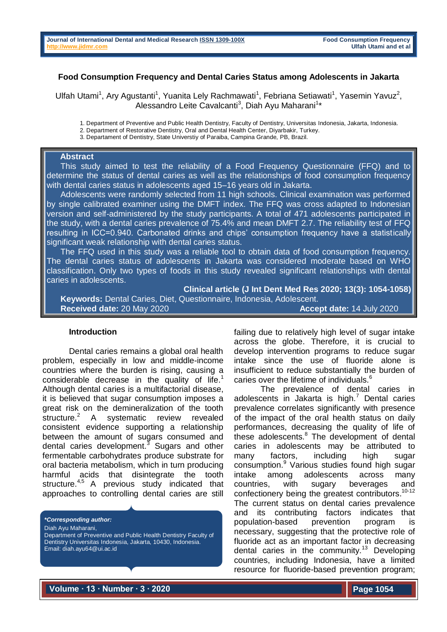## **Food Consumption Frequency and Dental Caries Status among Adolescents in Jakarta**

Ulfah Utami<sup>1</sup>, Ary Agustanti<sup>1</sup>, Yuanita Lely Rachmawati<sup>1</sup>, Febriana Setiawati<sup>1</sup>, Yasemin Yavuz<sup>2</sup>, Alessandro Leite Cavalcanti<sup>3</sup>, Diah Ayu Maharani<sup>1\*</sup>

1. Department of Preventive and Public Health Dentistry, Faculty of Dentistry, Universitas Indonesia, Jakarta, Indonesia.

3. Departament of Dentistry, State Universtiy of Paraiba, Campina Grande, PB, Brazil.

## **Abstract**

 This study aimed to test the reliability of a Food Frequency Questionnaire (FFQ) and to determine the status of dental caries as well as the relationships of food consumption frequency with dental caries status in adolescents aged 15–16 years old in Jakarta.

 Adolescents were randomly selected from 11 high schools. Clinical examination was performed by single calibrated examiner using the DMFT index. The FFQ was cross adapted to Indonesian version and self-administered by the study participants. A total of 471 adolescents participated in the study, with a dental caries prevalence of 75.4% and mean DMFT 2.7. The reliability test of FFQ resulting in ICC=0.940. Carbonated drinks and chips' consumption frequency have a statistically significant weak relationship with dental caries status.

 The FFQ used in this study was a reliable tool to obtain data of food consumption frequency. The dental caries status of adolescents in Jakarta was considered moderate based on WHO classification. Only two types of foods in this study revealed significant relationships with dental caries in adolescents.

**Clinical article (J Int Dent Med Res 2020; 13(3): 1054-1058)** 

 **Keywords:** Dental Caries, Diet, Questionnaire, Indonesia, Adolescent. **Received date:** 20 May 2020 **Accept date:** 14 July 2020

#### **Introduction**

Dental caries remains a global oral health problem, especially in low and middle-income countries where the burden is rising, causing a considerable decrease in the quality of life.<sup>1</sup> Although dental caries is a multifactorial disease, it is believed that sugar consumption imposes a great risk on the demineralization of the tooth structure.<sup>2</sup> A systematic review revealed consistent evidence supporting a relationship between the amount of sugars consumed and dental caries development.<sup>3</sup> Sugars and other fermentable carbohydrates produce substrate for oral bacteria metabolism, which in turn producing harmful acids that disintegrate the tooth structure.<sup>4,5</sup> A previous study indicated that approaches to controlling dental caries are still

*\*Corresponding author:* Diah Ayu Maharani, Department of Preventive and Public Health Dentistry Faculty of Dentistry Universitas Indonesia, Jakarta, 10430, Indonesia. Email: diah.ayu64@ui.ac.id

failing due to relatively high level of sugar intake across the globe. Therefore, it is crucial to develop intervention programs to reduce sugar intake since the use of fluoride alone is insufficient to reduce substantially the burden of caries over the lifetime of individuals.<sup>6</sup>

The prevalence of dental caries in adolescents in Jakarta is high.<sup>7</sup> Dental caries prevalence correlates significantly with presence of the impact of the oral health status on daily performances, decreasing the quality of life of these adolescents.<sup>8</sup> The development of dental caries in adolescents may be attributed to many factors, including high sugar consumption.<sup>9</sup> Various studies found high sugar intake among adolescents across many countries, with sugary beverages and confectionery being the greatest contributors. 10-12 The current status on dental caries prevalence and its contributing factors indicates that population-based prevention program is necessary, suggesting that the protective role of fluoride act as an important factor in decreasing dental caries in the community.<sup>13</sup> Developing countries, including Indonesia, have a limited resource for fluoride-based prevention program;

**Volume ∙ 13 ∙ Number ∙ 3 ∙ 2020**

<sup>2.</sup> Department of Restorative Dentistry, Oral and Dental Health Center, Diyarbakir, Turkey.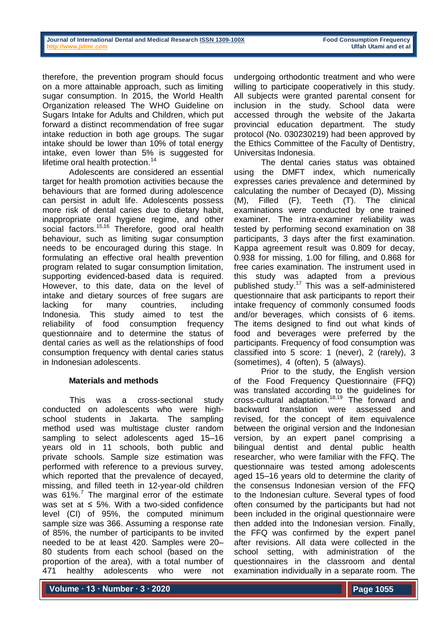therefore, the prevention program should focus on a more attainable approach, such as limiting sugar consumption. In 2015, the World Health Organization released The WHO Guideline on Sugars Intake for Adults and Children, which put forward a distinct recommendation of free sugar intake reduction in both age groups. The sugar intake should be lower than 10% of total energy intake, even lower than 5% is suggested for lifetime oral health protection.<sup>14</sup>

Adolescents are considered an essential target for health promotion activities because the behaviours that are formed during adolescence can persist in adult life. Adolescents possess more risk of dental caries due to dietary habit, inappropriate oral hygiene regime, and other social factors.<sup>15,16</sup> Therefore, good oral health behaviour, such as limiting sugar consumption needs to be encouraged during this stage. In formulating an effective oral health prevention program related to sugar consumption limitation, supporting evidenced-based data is required. However, to this date, data on the level of intake and dietary sources of free sugars are lacking for many countries, including Indonesia. This study aimed to test the reliability of food consumption frequency questionnaire and to determine the status of dental caries as well as the relationships of food consumption frequency with dental caries status in Indonesian adolescents.

# **Materials and methods**

This was a cross-sectional study conducted on adolescents who were highschool students in Jakarta. The sampling method used was multistage cluster random sampling to select adolescents aged 15–16 years old in 11 schools, both public and private schools. Sample size estimation was performed with reference to a previous survey, which reported that the prevalence of decayed, missing, and filled teeth in 12-year-old children was  $61\%$ .<sup>7</sup> The marginal error of the estimate was set at  $\leq$  5%. With a two-sided confidence level (CI) of 95%, the computed minimum sample size was 366. Assuming a response rate of 85%, the number of participants to be invited needed to be at least 420. Samples were 20– 80 students from each school (based on the proportion of the area), with a total number of 471 healthy adolescents who were not

undergoing orthodontic treatment and who were willing to participate cooperatively in this study. All subjects were granted parental consent for inclusion in the study. School data were accessed through the website of the Jakarta provincial education department. The study protocol (No. 030230219) had been approved by the Ethics Committee of the Faculty of Dentistry, Universitas Indonesia.

The dental caries status was obtained using the DMFT index, which numerically expresses caries prevalence and determined by calculating the number of Decayed (D), Missing (M), Filled (F), Teeth (T). The clinical examinations were conducted by one trained examiner. The intra-examiner reliability was tested by performing second examination on 38 participants, 3 days after the first examination. Kappa agreement result was 0.809 for decay, 0.938 for missing, 1.00 for filling, and 0.868 for free caries examination. The instrument used in this study was adapted from a previous published study.<sup>17</sup> This was a self-administered questionnaire that ask participants to report their intake frequency of commonly consumed foods and/or beverages, which consists of 6 items. The items designed to find out what kinds of food and beverages were preferred by the participants. Frequency of food consumption was classified into 5 score: 1 (never), 2 (rarely), 3 (sometimes), 4 (often), 5 (always).

Prior to the study, the English version of the Food Frequency Questionnaire (FFQ) was translated according to the guidelines for cross-cultural adaptation.<sup>18,19</sup> The forward and backward translation were assessed and revised, for the concept of item equivalence between the original version and the Indonesian version, by an expert panel comprising a bilingual dentist and dental public health researcher, who were familiar with the FFQ. The questionnaire was tested among adolescents aged 15–16 years old to determine the clarity of the consensus Indonesian version of the FFQ to the Indonesian culture. Several types of food often consumed by the participants but had not been included in the original questionnaire were then added into the Indonesian version. Finally, the FFQ was confirmed by the expert panel after revisions. All data were collected in the school setting, with administration of the questionnaires in the classroom and dental examination individually in a separate room. The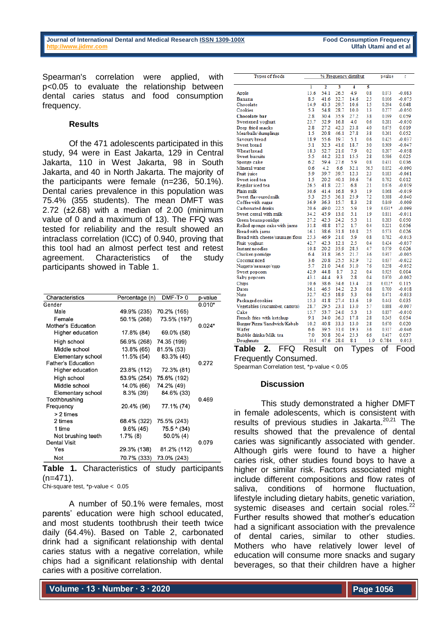**Ulfah Utami and et al** 

Spearman's correlation were applied, with p<0.05 to evaluate the relationship between dental caries status and food consumption frequency.

## **Results**

Of the 471 adolescents participated in this study, 94 were in East Jakarta, 129 in Central Jakarta, 110 in West Jakarta, 98 in South Jakarta, and 40 in North Jakarta. The majority of the participants were female (n=236, 50.1%). Dental caries prevalence in this population was 75.4% (355 students). The mean DMFT was 2.72 (±2.68) with a median of 2.00 (minimum value of 0 and a maximum of 13). The FFQ was tested for reliability and the result showed an intraclass correlation (ICC) of 0.940, proving that this tool had an almost perfect test and retest agreement. Characteristics of the study participants showed in Table 1.

| Characteristics           | Percentage (n) | $DMF-T>0$   | p-value  |
|---------------------------|----------------|-------------|----------|
| Gender                    |                |             | $0.010*$ |
| Male                      | 49.9% (235)    | 70.2% (165) |          |
| Female                    | 50.1% (268)    | 73.5% (197) |          |
| Mother's Education        |                |             | $0.024*$ |
| Higher education          | 17.8% (84)     | 69.0% (58)  |          |
| High school               | 56.9% (268)    | 74.35 (199) |          |
| Middle school             | 13.8% (65)     | 81.5% (53)  |          |
| Elementary school         | 11.5% (54)     | 83.3% (45)  |          |
| <b>Father's Education</b> |                |             | 0.272    |
| Higher education          | 23.8% (112)    | 72.3% (81)  |          |
| High school               | 53.9% (254)    | 75.6% (192) |          |
| Middle school             | 14.0% (66)     | 74.2% (49)  |          |
| Elementary school         | $8.3\%$ (39)   | 84.6% (33)  |          |
| Toothbrushing             |                |             | 0.469    |
| Frequency                 | 20.4% (96)     | 77.1% (74)  |          |
| > 2 times                 |                |             |          |
| 2 times                   | 68.4% (322)    | 75.5% (243) |          |
| 1 time                    | $9.6\%$ (45)   | 75.5 ^ (34) |          |
| Not brushing teeth        | $1.7\%$ (8)    | 50.0% (4)   |          |
| <b>Dental Visit</b>       |                |             | 0.079    |
| Yes                       | 29.3% (138)    | 81.2% (112) |          |
| Not                       | 70.7% (333)    | 73.0% (243) |          |
| . .<br><b>^'</b>          | . .            | .           |          |

**Table 1.** Characteristics of study participants  $(n=471)$ .

Chi-square test, \*p-value < 0.05

A number of 50.1% were females, most parents' education were high school educated, and most students toothbrush their teeth twice daily (64.4%). Based on Table 2, carbonated drink had a significant relationship with dental caries status with a negative correlation, while chips had a significant relationship with dental caries with a positive correlation.

| <b>Types of foods</b>           | % Frequency distribut |                      |      | p-value             | r    |                     |                         |
|---------------------------------|-----------------------|----------------------|------|---------------------|------|---------------------|-------------------------|
|                                 | ī                     | 2                    | 3    | 4                   | 5    |                     |                         |
| Apple                           | 13.6                  | 54.1                 | 26.5 | 4.9                 | 0.8  | 0.073               | $-0.083$                |
| <b>Banana</b>                   | 8.5                   | 41.6                 | 32.7 | 14.6                | 25   | 0.106               | $-0.075$                |
| Chocolate                       | 14.9                  | 43.3                 | 29.7 | 10.6                | 1.5  | 0.294               | 0.048                   |
| Cookies                         | 5.3                   | 54.8                 | 28.7 | 10.0                | 1.3  | 0.277               | $-0.050$                |
| Chocolate bar                   | 2.8                   | 30.4                 | 35.9 | 27.2                | 3.8  | 0.199               | 0.059                   |
| Sweetened yoghurt               | 25.7                  | 52.9                 | 16.8 | 4.0                 | 0.6  | 0.281               | $-0.050$                |
| Deep fried snacks               | 2.8                   | 27.2                 | 42.3 | 23.8                | 4.0  | 0.675               | 0.019                   |
| Meatballs/dumplings             | 1.5                   | 20.8                 | 46.1 | 27.8                | 3.8  | 0.261               | 0.052                   |
| Savoury bread                   | 18.9                  | 55.6                 | 19.7 | 5.1                 | 0.6  | 0.425               | $-0.037$                |
| Sweet bread                     | 5.1                   | 32.3                 | 41.0 | 18.7                | 3.0  | 0.309               | $-0.047$                |
| Wheat bread                     | 18.3                  | 52.7                 | 21.0 | 7.9                 | 0.2  | 0.207               | $-0.058$                |
| <b>Sweet biscuits</b>           | 5.5                   | 44.2                 | 32.1 | 15.5                | 2.8  | 0.586               | 0.025                   |
| Sponge cake                     | 6.2                   | 59.4                 | 27.6 | 5.9                 | 0.8  | 0.431               | 0.036                   |
| Mineral water                   | 0.6                   | 4.2                  | 6.6  | 32.1                | 56.5 | 0.052               | $-0.090$                |
| Fruit juice                     | 5.9                   | 39.7                 | 39.7 | 12.3                | 2.3  | 0.183               | $-0.061$                |
| Sweet iced tea                  | 1.5                   | 20.2                 | 40.1 | 30.6                | 7.6  | 0.792               | 0.012                   |
| Regular iced tea                | 26.5                  | 41.8                 | 22.7 | 6.8                 | 2.1  | 0.676               | $-0.019$                |
| Plain milk                      | 30.6                  | 41.4                 | 16.8 | 9.3                 | 1.9  | 0.068               | $-0.019$                |
| Sweet flavoured milk            | 5.3                   | 25.5                 | 36.1 | 25.9                | 7.2  | 0.388               | $-0.040$                |
| Coffee with sugar               | 36.9                  | 36.3                 | 15.7 | 8.3                 | 2.8  | 0.849               | $-0.009$                |
| Carbonated drinks               | 20.6                  | 49.0                 | 22.5 | 5.9                 | 1.9  | $0.031*$            | $-0.099$                |
| Sweet cereal with milk          | 34.2                  | 45.9                 | 13.0 | 5.1                 | 1.9  | 0.811               | $-0.011$                |
| Green beans porridge            | 27.2                  | 42.3                 | 24.2 | 5.3                 | 1.1  | 0.283               | 0.050                   |
| Rolled sponge cake with jams    | 31.8                  | 48.8                 | 17.2 | 1.7                 | 0.4  | 0.221               | 0.056                   |
| Bread with jams                 | 16.1                  | 38.6                 | 31.8 | 10.8                | 2.5  | 0.573               | 0.026                   |
| Bread with cheese/sausage/floss | 25.3                  | 46.9                 | 21.0 | 5.9                 | 0.8  | 0.782               | $-0.013$                |
| Fruit yoghurt                   | 42.7                  | 42.3                 | 12.1 | 2.5                 | 0.4  | 0.424               | $-0.037$                |
| Instant noodles                 | 10.8                  | 20.2                 | 35.9 | 28.5                | 4.7  | 0.579               | 0.026                   |
| Chicken porridge                | 6.4                   | 31.8                 | 36.5 | 21.7                | 3.6  | 0.917               | $-0.005$                |
| Coconut riced                   | 3.6                   | 20.8                 | 25.5 | 32.9                | 7.2  | 0.637               | $-0.022$                |
| Nuggets/sausage/eggs            | 5.7                   | 21.0                 | 34.6 | 31.0                | 7.6  | 0.258               | $-0.052$                |
| Sweet popcom                    | 42.9                  | 44.8                 | 8.7  | 3.2                 | 0.4  | 0.925               | 0.004                   |
| Salty popcom                    | 43.1                  | 44.4                 | 9.3  | 2.8                 | 0.4  | 0.970               | $-0.002$                |
| Chips                           | 10.6                  | 38.6                 | 34.6 | 13.4                | 2.8  | $0.012*$            | 0.115                   |
| Dates                           | 36.1                  | 46.5                 | 14.2 | 2.3                 | 0.8  | 0.700               | $-0.018$                |
| <b>Nuts</b>                     | 32.7                  | 42.5                 | 18.9 | 5.3                 | 0.6  | 0.471               | $-0.033$                |
| Packaged cookies                | 15.3                  | 41.8                 | 27.4 | 13.6                | 1.9  | 0.443               | 0.035                   |
| Vegetables (cucumber, carrots)  | 28.7                  | 29.5                 | 23.1 | 13.0                | 5.7  | 0.888               | $-0.007$                |
| Cake                            | 15.7                  | 53.7                 | 24.0 | 5.3                 | 1.3  | 0.837               | $-0.010$                |
| French fries with ketchup       | 9.1                   | 34.0                 | 36.3 | 17.8                | 2.8  | 0.245               | 0.054                   |
| Burger/Pizza/Sandwich/Kebab     | 10.2                  | 40.8                 | 33.3 | 13.0                | 2.8  | 0.670               | 0.020                   |
| Wafer                           | 6.6                   | 39.5                 | 31.0 | 19.3                | 3.6  | 0.317               | $-0.046$                |
| Bubble drinks/Milk tea          | 7.0                   | 30.8                 | 30.4 | 25.3                | 6.6  | 0.417               | 0.037                   |
| Doughnuts<br>.                  | 14.4<br>∽             | 47.6<br>$\mathbf{H}$ | 28.0 | 8.1<br>$\mathbf{r}$ | 1.9  | 0.784<br>$\epsilon$ | 0.013<br>$\overline{ }$ |

**Table 2.** FFQ Result on Types of Food Frequently Consumed.

Spearman Correlation test, \*p-value < 0.05

#### **Discussion**

This study demonstrated a higher DMFT in female adolescents, which is consistent with results of previous studies in Jakarta.<sup>20,21</sup> The results showed that the prevalence of dental caries was significantly associated with gender. Although girls were found to have a higher caries risk, other studies found boys to have a higher or similar risk. Factors associated might include different compositions and flow rates of saliva, conditions of hormone fluctuation, lifestyle including dietary habits, genetic variation, systemic diseases and certain social roles.<sup>22</sup> Further results showed that mother's education had a significant association with the prevalence of dental caries, similar to other studies. Mothers who have relatively lower level of education will consume more snacks and sugary beverages, so that their children have a higher

**Volume ∙ 13 ∙ Number ∙ 3 ∙ 2020**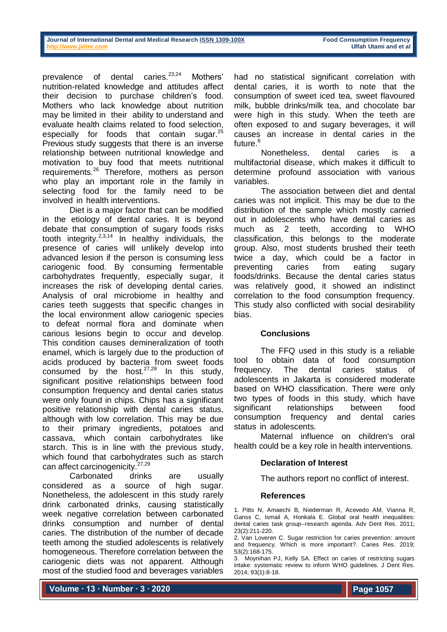| Journal of International Dental and Medical Research ISSN 1309-100X |  |  |
|---------------------------------------------------------------------|--|--|
| http://www.iidmr.com                                                |  |  |

**Food Consumption Frequency Ulfah Utami and et al** 

prevalence of dental caries.<sup>23,24</sup> Mothers' nutrition-related knowledge and attitudes affect their decision to purchase children's food. Mothers who lack knowledge about nutrition may be limited in their ability to understand and evaluate health claims related to food selection, especially for foods that contain sugar. $^{25}$ Previous study suggests that there is an inverse relationship between nutritional knowledge and motivation to buy food that meets nutritional requirements.<sup>26</sup> Therefore, mothers as person who play an important role in the family in selecting food for the family need to be involved in health interventions.

Diet is a major factor that can be modified in the etiology of dental caries. It is beyond debate that consumption of sugary foods risks tooth integrity. $2,3,14$  In healthy individuals, the presence of caries will unlikely develop into advanced lesion if the person is consuming less cariogenic food. By consuming fermentable carbohydrates frequently, especially sugar, it increases the risk of developing dental caries. Analysis of oral microbiome in healthy and caries teeth suggests that specific changes in the local environment allow cariogenic species to defeat normal flora and dominate when carious lesions begin to occur and develop. This condition causes demineralization of tooth enamel, which is largely due to the production of acids produced by bacteria from sweet foods consumed by the host. $27,28$  In this study, significant positive relationships between food consumption frequency and dental caries status were only found in chips. Chips has a significant positive relationship with dental caries status, although with low correlation. This may be due to their primary ingredients, potatoes and cassava, which contain carbohydrates like starch. This is in line with the previous study, which found that carbohydrates such as starch can affect carcinogenicity.<sup>27,29</sup>

Carbonated drinks are usually considered as a source of high sugar. Nonetheless, the adolescent in this study rarely drink carbonated drinks, causing statistically week negative correlation between carbonated drinks consumption and number of dental caries. The distribution of the number of decade teeth among the studied adolescents is relatively homogeneous. Therefore correlation between the cariogenic diets was not apparent. Although most of the studied food and beverages variables

had no statistical significant correlation with dental caries, it is worth to note that the consumption of sweet iced tea, sweet flavoured milk, bubble drinks/milk tea, and chocolate bar were high in this study. When the teeth are often exposed to and sugary beverages, it will causes an increase in dental caries in the future.<sup>6</sup>

Nonetheless, dental caries is a multifactorial disease, which makes it difficult to determine profound association with various variables.

The association between diet and dental caries was not implicit. This may be due to the distribution of the sample which mostly carried out in adolescents who have dental caries as much as 2 teeth, according to WHO classification, this belongs to the moderate group. Also, most students brushed their teeth twice a day, which could be a factor in preventing caries from eating sugary foods/drinks. Because the dental caries status was relatively good, it showed an indistinct correlation to the food consumption frequency. This study also conflicted with social desirability bias.

# **Conclusions**

The FFQ used in this study is a reliable tool to obtain data of food consumption frequency. The dental caries status of adolescents in Jakarta is considered moderate based on WHO classification. There were only two types of foods in this study, which have significant relationships between food consumption frequency and dental caries status in adolescents.

Maternal influence on children's oral health could be a key role in health interventions.

# **Declaration of Interest**

The authors report no conflict of interest.

#### **References**

1. Pitts N, Amaechi B, Niederman R, Acevedo AM, Vianna R, Ganss C, Ismail A, Honkala E. Global oral health inequalities: dental caries task group--research agenda. Adv Dent Res. 2011; 23(2):211-220.

**Volume ∙ 13 ∙ Number ∙ 3 ∙ 2020**

<sup>2.</sup> Van Loveren C. Sugar restriction for caries prevention: amount and frequency. Which is more important?. Caries Res. 2019; 53(2):168-175.

<sup>3.</sup> Moynihan PJ, Kelly SA. Effect on caries of restricting sugars intake: systematic review to inform WHO guidelines. J Dent Res. 2014; 93(1):8-18.